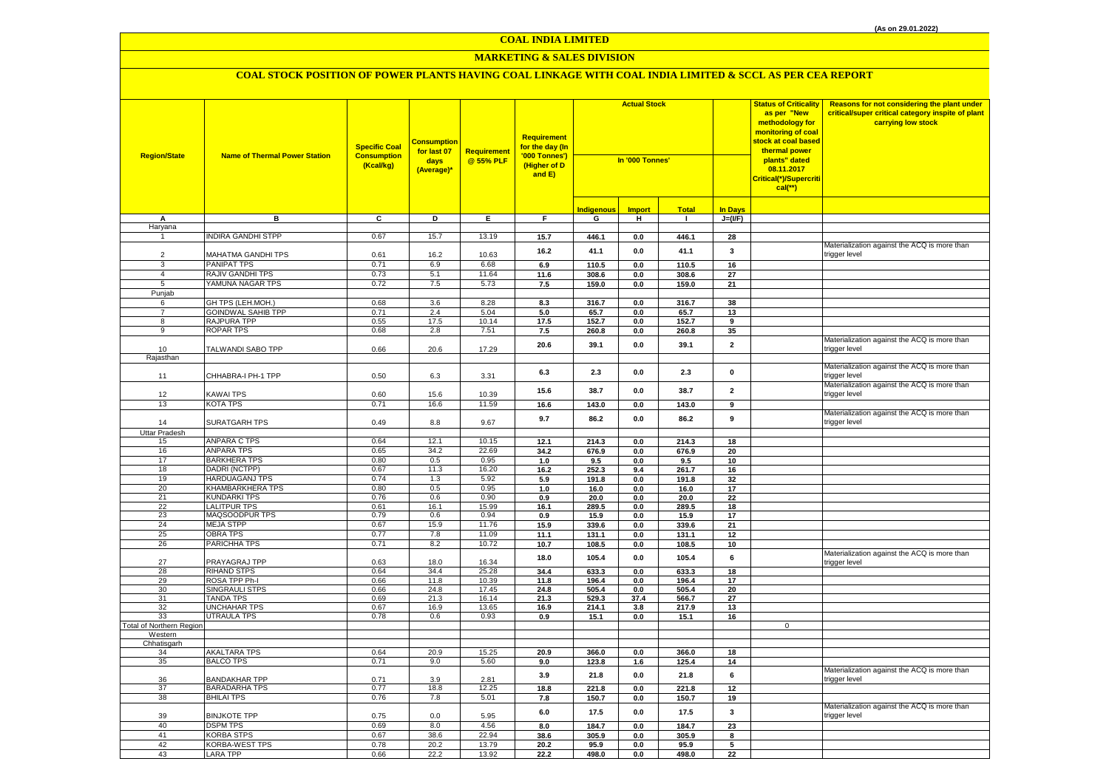# **MARKETING & SALES DIVISION**

| <b>Region/State</b>      | <b>Name of Thermal Power Station</b>   | <b>Specific Coal</b><br><b>Consumption</b><br>(Kcal/kg) | <b>Consumption</b><br>for last 07<br>days<br>(Average)* | Requirement<br>@ 55% PLF | Requirement<br>for the day (In<br>'000 Tonnes')<br>(Higher of D<br>and E) | <b>Actual Stock</b><br>In '000 Tonnes' |                |                |                         | <b>Status of Criticality</b><br>as per "New<br>methodology for<br>monitoring of coal<br><mark>stock at coal based</mark><br>thermal power<br>plants" dated<br>08.11.2017<br>Critical(*)/Supercriti<br>$cal$ (**) | Reasons for not considering the plant under<br>critical/super critical category inspite of plant<br>carrying low stock |
|--------------------------|----------------------------------------|---------------------------------------------------------|---------------------------------------------------------|--------------------------|---------------------------------------------------------------------------|----------------------------------------|----------------|----------------|-------------------------|------------------------------------------------------------------------------------------------------------------------------------------------------------------------------------------------------------------|------------------------------------------------------------------------------------------------------------------------|
|                          |                                        |                                                         |                                                         |                          |                                                                           | <b>Indigenous</b>                      | <b>Import</b>  | <b>Total</b>   | <b>In Days</b>          |                                                                                                                                                                                                                  |                                                                                                                        |
| А                        | в                                      | C                                                       | D                                                       | E.                       | F.                                                                        | G                                      | н              | $\mathbf{L}$   | $J=(VF)$                |                                                                                                                                                                                                                  |                                                                                                                        |
| Haryana<br>$\mathbf{1}$  |                                        |                                                         |                                                         |                          |                                                                           |                                        |                |                |                         |                                                                                                                                                                                                                  |                                                                                                                        |
|                          | <b>NDIRA GANDHI STPP</b>               | 0.67                                                    | 15.7                                                    | 13.19                    | 15.7                                                                      | 446.1                                  | $0.0\,$        | 446.1          | 28                      |                                                                                                                                                                                                                  | Materialization against the ACQ is more than                                                                           |
| $\overline{2}$           | MAHATMA GANDHI TPS                     | 0.61                                                    | 16.2                                                    | 10.63                    | 16.2                                                                      | 41.1                                   | 0.0            | 41.1           | 3                       |                                                                                                                                                                                                                  | trigger level                                                                                                          |
| 3                        | PANIPAT TPS                            | 0.71                                                    | 6.9                                                     | 6.68                     | 6.9                                                                       | 110.5                                  | 0.0            | 110.5          | 16                      |                                                                                                                                                                                                                  |                                                                                                                        |
| $\overline{4}$           | RAJIV GANDHI TPS                       | 0.73                                                    | 5.1                                                     | 11.64                    | 11.6                                                                      | 308.6                                  | $0.0\,$        | 308.6          | 27                      |                                                                                                                                                                                                                  |                                                                                                                        |
| 5                        | YAMUNA NAGAR TPS                       | 0.72                                                    | 7.5                                                     | 5.73                     | 7.5                                                                       | 159.0                                  | 0.0            | 159.0          | 21                      |                                                                                                                                                                                                                  |                                                                                                                        |
| Punjab                   |                                        |                                                         |                                                         |                          |                                                                           |                                        |                |                |                         |                                                                                                                                                                                                                  |                                                                                                                        |
| 6                        | GH TPS (LEH.MOH.)                      | 0.68                                                    | 3.6                                                     | 8.28                     | 8.3                                                                       | 316.7                                  | $0.0\,$        | 316.7          | 38                      |                                                                                                                                                                                                                  |                                                                                                                        |
| $\overline{7}$           | <b>GOINDWAL SAHIB TPP</b>              | 0.71                                                    | 2.4                                                     | 5.04                     | 5.0                                                                       | 65.7                                   | 0.0            | 65.7           | 13                      |                                                                                                                                                                                                                  |                                                                                                                        |
| $\overline{8}$           | RAJPURA TPP<br><b>ROPAR TPS</b>        | 0.55                                                    | 17.5<br>2.8                                             | 10.14                    | 17.5                                                                      | 152.7                                  | 0.0            | 152.7          | 9                       |                                                                                                                                                                                                                  |                                                                                                                        |
| 9                        |                                        | 0.68                                                    |                                                         | 7.51                     | 7.5                                                                       | 260.8                                  | $0.0\,$        | 260.8          | 35                      |                                                                                                                                                                                                                  | Materialization against the ACQ is more than                                                                           |
| 10                       | TALWANDI SABO TPP                      | 0.66                                                    | 20.6                                                    | 17.29                    | 20.6                                                                      | 39.1                                   | 0.0            | 39.1           | $\overline{\mathbf{2}}$ |                                                                                                                                                                                                                  | trigger level                                                                                                          |
| Rajasthan                |                                        |                                                         |                                                         |                          |                                                                           |                                        |                |                |                         |                                                                                                                                                                                                                  |                                                                                                                        |
|                          |                                        |                                                         |                                                         |                          |                                                                           |                                        |                |                |                         |                                                                                                                                                                                                                  | Materialization against the ACQ is more than                                                                           |
| 11                       | CHHABRA-I PH-1 TPP                     | 0.50                                                    | 6.3                                                     | 3.31                     | 6.3                                                                       | 2.3                                    | 0.0            | 2.3            | $\mathbf 0$             |                                                                                                                                                                                                                  | trigger level                                                                                                          |
|                          |                                        |                                                         |                                                         |                          | 15.6                                                                      | 38.7                                   | $0.0\,$        | 38.7           | $\overline{2}$          |                                                                                                                                                                                                                  | Materialization against the ACQ is more than                                                                           |
| 12                       | KAWAI TPS                              | 0.60                                                    | 15.6                                                    | 10.39                    |                                                                           |                                        |                |                |                         |                                                                                                                                                                                                                  | trigger level                                                                                                          |
| 13                       | KOTA TPS                               | 0.71                                                    | 16.6                                                    | 11.59                    | 16.6                                                                      | 143.0                                  | 0.0            | 143.0          | 9                       |                                                                                                                                                                                                                  |                                                                                                                        |
| 14                       | SURATGARH TPS                          | 0.49                                                    | 8.8                                                     | 9.67                     | 9.7                                                                       | 86.2                                   | 0.0            | 86.2           | 9                       |                                                                                                                                                                                                                  | Materialization against the ACQ is more than<br>trigger level                                                          |
| Uttar Pradesh            |                                        |                                                         |                                                         |                          |                                                                           |                                        |                |                |                         |                                                                                                                                                                                                                  |                                                                                                                        |
| 15                       | ANPARA C TPS                           | 0.64                                                    | 12.1                                                    | 10.15                    | 12.1                                                                      | 214.3                                  | 0.0            | 214.3          | 18                      |                                                                                                                                                                                                                  |                                                                                                                        |
| 16                       | <b>ANPARA TPS</b>                      | 0.65                                                    | 34.2                                                    | 22.69                    | 34.2                                                                      | 676.9                                  | 0.0            | 676.9          | 20                      |                                                                                                                                                                                                                  |                                                                                                                        |
| 17                       | <b>BARKHERA TPS</b>                    | 0.80                                                    | 0.5                                                     | 0.95                     | 1.0                                                                       | 9.5                                    | 0.0            | 9.5            | 10                      |                                                                                                                                                                                                                  |                                                                                                                        |
| 18                       | DADRI (NCTPP)                          | 0.67                                                    | 11.3                                                    | 16.20                    | 16.2                                                                      | 252.3                                  | 9.4            | 261.7          | 16                      |                                                                                                                                                                                                                  |                                                                                                                        |
| 19                       | <b>HARDUAGANJ TPS</b>                  | 0.74                                                    | 1.3                                                     | 5.92                     | 5.9                                                                       | 191.8                                  | $0.0\,$        | 191.8          | 32                      |                                                                                                                                                                                                                  |                                                                                                                        |
| 20<br>21                 | KHAMBARKHERA TPS                       | 0.80                                                    | 0.5                                                     | 0.95<br>0.90             | 1.0                                                                       | 16.0                                   | 0.0            | 16.0           | 17                      |                                                                                                                                                                                                                  |                                                                                                                        |
| 22                       | KUNDARKI TPS<br><b>LALITPUR TPS</b>    | 0.76<br>0.61                                            | 0.6<br>16.1                                             | 15.99                    | 0.9<br>16.1                                                               | 20.0<br>289.5                          | 0.0<br>0.0     | 20.0<br>289.5  | 22<br>18                |                                                                                                                                                                                                                  |                                                                                                                        |
| 23                       | MAQSOODPUR TPS                         | 0.79                                                    | 0.6                                                     | 0.94                     | 0.9                                                                       | 15.9                                   | 0.0            | 15.9           | 17                      |                                                                                                                                                                                                                  |                                                                                                                        |
| 24                       | <b>MEJA STPP</b>                       | 0.67                                                    | 15.9                                                    | 11.76                    | 15.9                                                                      | 339.6                                  | 0.0            | 339.6          | 21                      |                                                                                                                                                                                                                  |                                                                                                                        |
| 25                       | <b>OBRA TPS</b>                        | 0.77                                                    | 7.8                                                     | 11.09                    | 11.1                                                                      | 131.1                                  | 0.0            | 131.1          | 12                      |                                                                                                                                                                                                                  |                                                                                                                        |
| 26                       | PARICHHA TPS                           | 0.71                                                    | 8.2                                                     | 10.72                    | 10.7                                                                      | 108.5                                  | 0.0            | 108.5          | 10                      |                                                                                                                                                                                                                  |                                                                                                                        |
|                          |                                        |                                                         |                                                         |                          | 18.0                                                                      | 105.4                                  | 0.0            | 105.4          | 6                       |                                                                                                                                                                                                                  | Materialization against the ACQ is more than                                                                           |
| 27                       | PRAYAGRAJ TPP                          | 0.63                                                    | 18.0                                                    | 16.34                    |                                                                           |                                        |                |                |                         |                                                                                                                                                                                                                  | trigger level                                                                                                          |
| 28<br>29                 | <b>RIHAND STPS</b>                     | 0.64                                                    | 34.4<br>11.8                                            | 25.28                    | 34.4                                                                      | 633.3                                  | 0.0            | 633.3          | 18<br>17                |                                                                                                                                                                                                                  |                                                                                                                        |
| 30                       | ROSA TPP Ph-I<br><b>SINGRAULI STPS</b> | 0.66<br>0.66                                            | 24.8                                                    | 10.39<br>17.45           | 11.8<br>24.8                                                              | 196.4<br>505.4                         | 0.0<br>$0.0\,$ | 196.4<br>505.4 | 20                      |                                                                                                                                                                                                                  |                                                                                                                        |
| 31                       | <b>TANDA TPS</b>                       | 0.69                                                    | 21.3                                                    | 16.14                    | 21.3                                                                      | 529.3                                  | 37.4           | 566.7          | 27                      |                                                                                                                                                                                                                  |                                                                                                                        |
| 32                       | UNCHAHAR TPS                           | 0.67                                                    | 16.9                                                    | 13.65                    | 16.9                                                                      | 214.1                                  | 3.8            | 217.9          | 13                      |                                                                                                                                                                                                                  |                                                                                                                        |
| 33                       | <b>UTRAULA TPS</b>                     | 0.78                                                    | 0.6                                                     | 0.93                     | 0.9                                                                       | 15.1                                   | 0.0            | 15.1           | 16                      |                                                                                                                                                                                                                  |                                                                                                                        |
| Total of Northern Region |                                        |                                                         |                                                         |                          |                                                                           |                                        |                |                |                         | $\mathbf 0$                                                                                                                                                                                                      |                                                                                                                        |
| Western                  |                                        |                                                         |                                                         |                          |                                                                           |                                        |                |                |                         |                                                                                                                                                                                                                  |                                                                                                                        |
| Chhatisgarh<br>34        | <b>AKALTARA TPS</b>                    | 0.64                                                    | 20.9                                                    | 15.25                    | 20.9                                                                      | 366.0                                  | 0.0            | 366.0          | 18                      |                                                                                                                                                                                                                  |                                                                                                                        |
| 35                       | <b>BALCO TPS</b>                       | 0.71                                                    | 9.0                                                     | 5.60                     | 9.0                                                                       | 123.8                                  | 1.6            | 125.4          | 14                      |                                                                                                                                                                                                                  |                                                                                                                        |
|                          |                                        |                                                         |                                                         |                          |                                                                           |                                        | 0.0            |                | 6                       |                                                                                                                                                                                                                  | Materialization against the ACQ is more than                                                                           |
| 36                       | <b>BANDAKHAR TPP</b>                   | 0.71                                                    | 3.9                                                     | 2.81                     | 3.9                                                                       | 21.8                                   |                | 21.8           |                         |                                                                                                                                                                                                                  | trigger level                                                                                                          |
| 37                       | BARADARHA TPS                          | 0.77                                                    | 18.8                                                    | 12.25                    | 18.8                                                                      | 221.8                                  | $0.0\,$        | 221.8          | 12                      |                                                                                                                                                                                                                  |                                                                                                                        |
| 38                       | <b>BHILAI TPS</b>                      | 0.76                                                    | 7.8                                                     | 5.01                     | $\bf 7.8$                                                                 | 150.7                                  | 0.0            | 150.7          | 19                      |                                                                                                                                                                                                                  |                                                                                                                        |
| 39                       | <b>BINJKOTE TPP</b>                    | 0.75                                                    | 0.0                                                     | 5.95                     | 6.0                                                                       | 17.5                                   | 0.0            | 17.5           | 3                       |                                                                                                                                                                                                                  | Materialization against the ACQ is more than<br>trigger level                                                          |
| 40                       | <b>DSPM TPS</b>                        | 0.69                                                    | 8.0                                                     | 4.56                     | 8.0                                                                       | 184.7                                  | 0.0            | 184.7          | 23                      |                                                                                                                                                                                                                  |                                                                                                                        |
| 41                       | KORBA STPS                             | 0.67                                                    | 38.6                                                    | 22.94                    | 38.6                                                                      | 305.9                                  | 0.0            | 305.9          | 8                       |                                                                                                                                                                                                                  |                                                                                                                        |
| 42                       | KORBA-WEST TPS                         | 0.78                                                    | 20.2                                                    | 13.79                    | 20.2                                                                      | 95.9                                   | 0.0            | 95.9           | 5                       |                                                                                                                                                                                                                  |                                                                                                                        |
| 43                       | <b>LARA TPP</b>                        | 0.66                                                    | 22.2                                                    | 13.92                    | 22.2                                                                      | 498.0                                  | 0.0            | 498.0          | 22                      |                                                                                                                                                                                                                  |                                                                                                                        |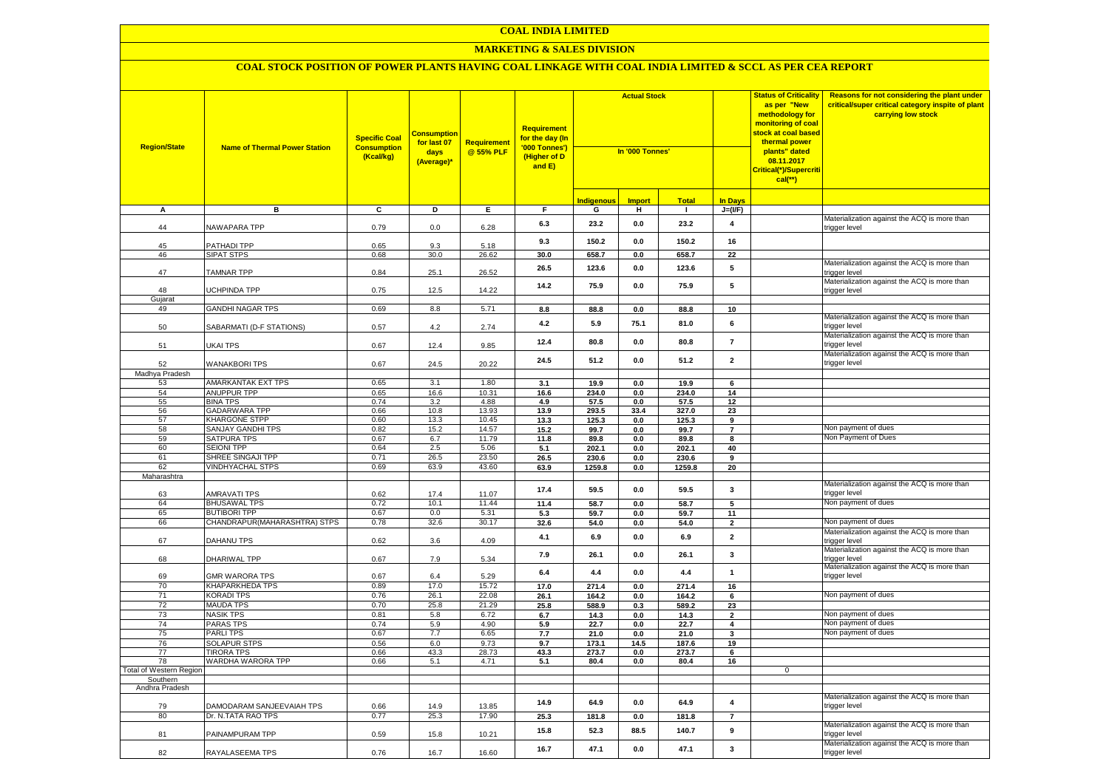#### **MARKETING & SALES DIVISION**

| <b>Region/State</b>                 | <b>Name of Thermal Power Station</b>     | <b>Specific Coal</b><br><b>Consumption</b><br>(Kcal/kg) | <b>Consumption</b><br>for last 07<br>days<br>(Average)* | Requirement<br>@ 55% PLF | <b>Requirement</b><br><mark>for the day (In</mark><br>'000 Tonnes')<br>(Higher of D<br>and E) | <b>Actual Stock</b><br>In '000 Tonnes' |               |               |                         | <b>Status of Criticality</b><br>as per "New<br>methodology for<br>monitoring of coal<br><mark>stock at coal based</mark><br>thermal power<br>plants" dated<br>08.11.2017<br>Critical(*)/Supercriti<br>$cal$ (**) | Reasons for not considering the plant under<br>critical/super critical category inspite of plant<br>carrying low stock |
|-------------------------------------|------------------------------------------|---------------------------------------------------------|---------------------------------------------------------|--------------------------|-----------------------------------------------------------------------------------------------|----------------------------------------|---------------|---------------|-------------------------|------------------------------------------------------------------------------------------------------------------------------------------------------------------------------------------------------------------|------------------------------------------------------------------------------------------------------------------------|
|                                     |                                          |                                                         |                                                         |                          |                                                                                               | <b>Indigenous</b>                      | <b>Import</b> | <b>Total</b>  | <b>In Days</b>          |                                                                                                                                                                                                                  |                                                                                                                        |
| A                                   | в                                        | C                                                       | D                                                       | Е.                       | F.                                                                                            | G                                      | н             | л.            | $J=(VF)$                |                                                                                                                                                                                                                  |                                                                                                                        |
| 44                                  | NAWAPARA TPP                             | 0.79                                                    | 0.0                                                     | 6.28                     | 6.3                                                                                           | 23.2                                   | 0.0           | 23.2          | $\overline{\mathbf{4}}$ |                                                                                                                                                                                                                  | Materialization against the ACQ is more than<br>trigger level                                                          |
| 45                                  | PATHADI TPP                              | 0.65                                                    | 9.3                                                     | 5.18                     | 9.3                                                                                           | 150.2                                  | 0.0           | 150.2         | 16                      |                                                                                                                                                                                                                  |                                                                                                                        |
| 46                                  | <b>SIPAT STPS</b>                        | 0.68                                                    | 30.0                                                    | 26.62                    | 30.0                                                                                          | 658.7                                  | 0.0           | 658.7         | $\overline{22}$         |                                                                                                                                                                                                                  |                                                                                                                        |
| 47                                  | <b>TAMNAR TPP</b>                        | 0.84                                                    | 25.1                                                    | 26.52                    | 26.5                                                                                          | 123.6                                  | 0.0           | 123.6         | 5                       |                                                                                                                                                                                                                  | Materialization against the ACQ is more than<br>trigger level                                                          |
| 48                                  | <b>JCHPINDA TPP</b>                      | 0.75                                                    | 12.5                                                    | 14.22                    | 14.2                                                                                          | 75.9                                   | 0.0           | 75.9          | 5                       |                                                                                                                                                                                                                  | Materialization against the ACQ is more than<br>trigger level                                                          |
| Gujarat                             |                                          |                                                         |                                                         |                          |                                                                                               |                                        |               |               |                         |                                                                                                                                                                                                                  |                                                                                                                        |
| 49                                  | <b>GANDHI NAGAR TPS</b>                  | 0.69                                                    | 8.8                                                     | 5.71                     | 8.8                                                                                           | 88.8                                   | 0.0           | 88.8          | 10                      |                                                                                                                                                                                                                  | Materialization against the ACQ is more than                                                                           |
| 50                                  | SABARMATI (D-F STATIONS)                 | 0.57                                                    | 4.2                                                     | 2.74                     | 4.2                                                                                           | 5.9                                    | 75.1          | 81.0          | 6                       |                                                                                                                                                                                                                  | trigger level<br>Materialization against the ACQ is more than                                                          |
| 51                                  | UKAI TPS                                 | 0.67                                                    | 12.4                                                    | 9.85                     | 12.4                                                                                          | 80.8                                   | 0.0           | 80.8          | $\overline{7}$          |                                                                                                                                                                                                                  | trigger level                                                                                                          |
| 52                                  | <b>WANAKBORI TPS</b>                     | 0.67                                                    | 24.5                                                    | 20.22                    | 24.5                                                                                          | 51.2                                   | 0.0           | 51.2          | $\overline{\mathbf{2}}$ |                                                                                                                                                                                                                  | Materialization against the ACQ is more than<br>trigger level                                                          |
| Madhya Pradesh                      |                                          |                                                         |                                                         |                          |                                                                                               |                                        |               |               |                         |                                                                                                                                                                                                                  |                                                                                                                        |
| 53                                  | AMARKANTAK EXT TPS                       | 0.65                                                    | 3.1                                                     | 1.80                     | 3.1                                                                                           | 19.9                                   | 0.0           | 19.9          | 6                       |                                                                                                                                                                                                                  |                                                                                                                        |
| 54<br>55                            | <b>ANUPPUR TPP</b><br><b>BINA TPS</b>    | 0.65<br>0.74                                            | 16.6                                                    | 10.31                    | 16.6                                                                                          | 234.0                                  | 0.0           | 234.0         | 14<br>12                |                                                                                                                                                                                                                  |                                                                                                                        |
| 56                                  | <b>GADARWARA TPP</b>                     | 0.66                                                    | 3.2<br>10.8                                             | 4.88<br>13.93            | 4.9<br>13.9                                                                                   | 57.5<br>293.5                          | 0.0<br>33.4   | 57.5<br>327.0 | 23                      |                                                                                                                                                                                                                  |                                                                                                                        |
| 57                                  | <b>KHARGONE STPP</b>                     | 0.60                                                    | 13.3                                                    | 10.45                    | 13.3                                                                                          | 125.3                                  | 0.0           | 125.3         | 9                       |                                                                                                                                                                                                                  |                                                                                                                        |
| 58                                  | SANJAY GANDHI TPS                        | 0.82                                                    | 15.2                                                    | 14.57                    | 15.2                                                                                          | 99.7                                   | 0.0           | 99.7          | $\overline{7}$          |                                                                                                                                                                                                                  | Non payment of dues                                                                                                    |
| 59                                  | <b>SATPURA TPS</b>                       | 0.67                                                    | 6.7                                                     | 11.79                    | 11.8                                                                                          | 89.8                                   | 0.0           | 89.8          | 8                       |                                                                                                                                                                                                                  | Non Payment of Dues                                                                                                    |
| 60                                  | <b>SEIONI TPP</b>                        | 0.64                                                    | 2.5                                                     | 5.06                     | 5.1                                                                                           | 202.1                                  | 0.0           | 202.1         | 40                      |                                                                                                                                                                                                                  |                                                                                                                        |
| 61                                  | SHREE SINGAJI TPP                        | 0.71                                                    | 26.5                                                    | 23.50                    | 26.5                                                                                          | 230.6                                  | 0.0           | 230.6         | 9                       |                                                                                                                                                                                                                  |                                                                                                                        |
| 62                                  | <b>VINDHYACHAL STPS</b>                  | 0.69                                                    | 63.9                                                    | 43.60                    | 63.9                                                                                          | 1259.8                                 | 0.0           | 1259.8        | 20                      |                                                                                                                                                                                                                  |                                                                                                                        |
| Maharashtra                         |                                          |                                                         |                                                         |                          |                                                                                               |                                        |               |               |                         |                                                                                                                                                                                                                  |                                                                                                                        |
| 63                                  | AMRAVATI TPS                             | 0.62                                                    | 17.4                                                    | 11.07                    | 17.4                                                                                          | 59.5                                   | 0.0           | 59.5          | 3                       |                                                                                                                                                                                                                  | Materialization against the ACQ is more than<br>trigger level                                                          |
| 64                                  | <b>BHUSAWAL TPS</b>                      | 0.72                                                    | 10.1                                                    | 11.44                    | 11.4                                                                                          | 58.7                                   | 0.0           | 58.7          | 5                       |                                                                                                                                                                                                                  | Non payment of dues                                                                                                    |
| 65                                  | <b>BUTIBORI TPP</b>                      | 0.67                                                    | 0.0                                                     | 5.31                     | 5.3                                                                                           | 59.7                                   | 0.0           | 59.7          | 11                      |                                                                                                                                                                                                                  |                                                                                                                        |
| 66                                  | CHANDRAPUR (MAHARASHTRA) STPS            | 0.78                                                    | 32.6                                                    | 30.17                    | 32.6                                                                                          | 54.0                                   | 0.0           | 54.0          | $\overline{2}$          |                                                                                                                                                                                                                  | Von payment of dues                                                                                                    |
| 67                                  | DAHANU TPS                               | 0.62                                                    | 3.6                                                     | 4.09                     | 4.1                                                                                           | 6.9                                    | 0.0           | 6.9           | $\overline{\mathbf{2}}$ |                                                                                                                                                                                                                  | Materialization against the ACQ is more than<br>trigger level                                                          |
| 68                                  | DHARIWAL TPP                             | 0.67                                                    | 7.9                                                     | 5.34                     | 7.9                                                                                           | 26.1                                   | 0.0           | 26.1          | 3                       |                                                                                                                                                                                                                  | Materialization against the ACQ is more than<br>trigger level<br>Materialization against the ACQ is more than          |
| 69<br>70                            | <b>GMR WARORA TPS</b><br>KHAPARKHEDA TPS | 0.67<br>0.89                                            | 6.4<br>17.0                                             | 5.29<br>15.72            | 6.4<br>17.0                                                                                   | 4.4<br>271.4                           | 0.0<br>0.0    | 4.4<br>271.4  | $\mathbf{1}$<br>16      |                                                                                                                                                                                                                  | trigger level                                                                                                          |
| 71                                  | <b>KORADI TPS</b>                        | 0.76                                                    | 26.1                                                    | 22.08                    | 26.1                                                                                          | 164.2                                  | 0.0           | 164.2         | 6                       |                                                                                                                                                                                                                  | Non payment of dues                                                                                                    |
| 72                                  | <b>MAUDA TPS</b>                         | 0.70                                                    | 25.8                                                    | 21.29                    | 25.8                                                                                          | 588.9                                  | 0.3           | 589.2         | 23                      |                                                                                                                                                                                                                  |                                                                                                                        |
| 73                                  | NASIK TPS                                | 0.81                                                    | 5.8                                                     | 6.72                     | 6.7                                                                                           | 14.3                                   | 0.0           | 14.3          | $\mathbf 2$             |                                                                                                                                                                                                                  | Non payment of dues                                                                                                    |
| 74                                  | PARAS TPS                                | 0.74                                                    | 5.9                                                     | 4.90                     | 5.9                                                                                           | 22.7                                   | 0.0           | 22.7          | $\overline{\mathbf{4}}$ |                                                                                                                                                                                                                  | Non payment of dues                                                                                                    |
| 75                                  | <b>PARLITPS</b>                          | 0.67                                                    | 7.7                                                     | 6.65                     | 7.7                                                                                           | 21.0                                   | 0.0           | 21.0          | 3                       |                                                                                                                                                                                                                  | Non payment of dues                                                                                                    |
| 76                                  | <b>SOLAPUR STPS</b>                      | 0.56                                                    | 6.0                                                     | 9.73                     | 9.7                                                                                           | 173.1                                  | 14.5          | 187.6         | 19                      |                                                                                                                                                                                                                  |                                                                                                                        |
| 77                                  | <b>TIRORA TPS</b>                        | 0.66                                                    | 43.3                                                    | 28.73                    | 43.3                                                                                          | 273.7                                  | 0.0           | 273.7         | 6                       |                                                                                                                                                                                                                  |                                                                                                                        |
| 78                                  | WARDHA WARORA TPP                        | 0.66                                                    | 5.1                                                     | 4.71                     | 5.1                                                                                           | 80.4                                   | $0.0\,$       | 80.4          | 16                      |                                                                                                                                                                                                                  |                                                                                                                        |
| Total of Western Region<br>Southern |                                          |                                                         |                                                         |                          |                                                                                               |                                        |               |               |                         | $\mathbf 0$                                                                                                                                                                                                      |                                                                                                                        |
| Andhra Pradesh                      |                                          |                                                         |                                                         |                          |                                                                                               |                                        |               |               |                         |                                                                                                                                                                                                                  |                                                                                                                        |
| 79                                  | DAMODARAM SANJEEVAIAH TPS                | 0.66                                                    | 14.9                                                    | 13.85                    | 14.9                                                                                          | 64.9                                   | 0.0           | 64.9          | $\pmb{4}$               |                                                                                                                                                                                                                  | Materialization against the ACQ is more than<br>trigger level                                                          |
| 80                                  | Dr. N.TATA RAO TPS                       | 0.77                                                    | 25.3                                                    | 17.90                    | 25.3                                                                                          | 181.8                                  | 0.0           | 181.8         | $\overline{7}$          |                                                                                                                                                                                                                  |                                                                                                                        |
| 81                                  | PAINAMPURAM TPP                          | 0.59                                                    | 15.8                                                    | 10.21                    | 15.8                                                                                          | 52.3                                   | 88.5          | 140.7         | 9                       |                                                                                                                                                                                                                  | Materialization against the ACQ is more than<br>trigger level                                                          |
| 82                                  | RAYALASEEMA TPS                          | 0.76                                                    | 16.7                                                    | 16.60                    | 16.7                                                                                          | 47.1                                   | 0.0           | 47.1          | 3                       |                                                                                                                                                                                                                  | Materialization against the ACQ is more than<br>trigger level                                                          |
|                                     |                                          |                                                         |                                                         |                          |                                                                                               |                                        |               |               |                         |                                                                                                                                                                                                                  |                                                                                                                        |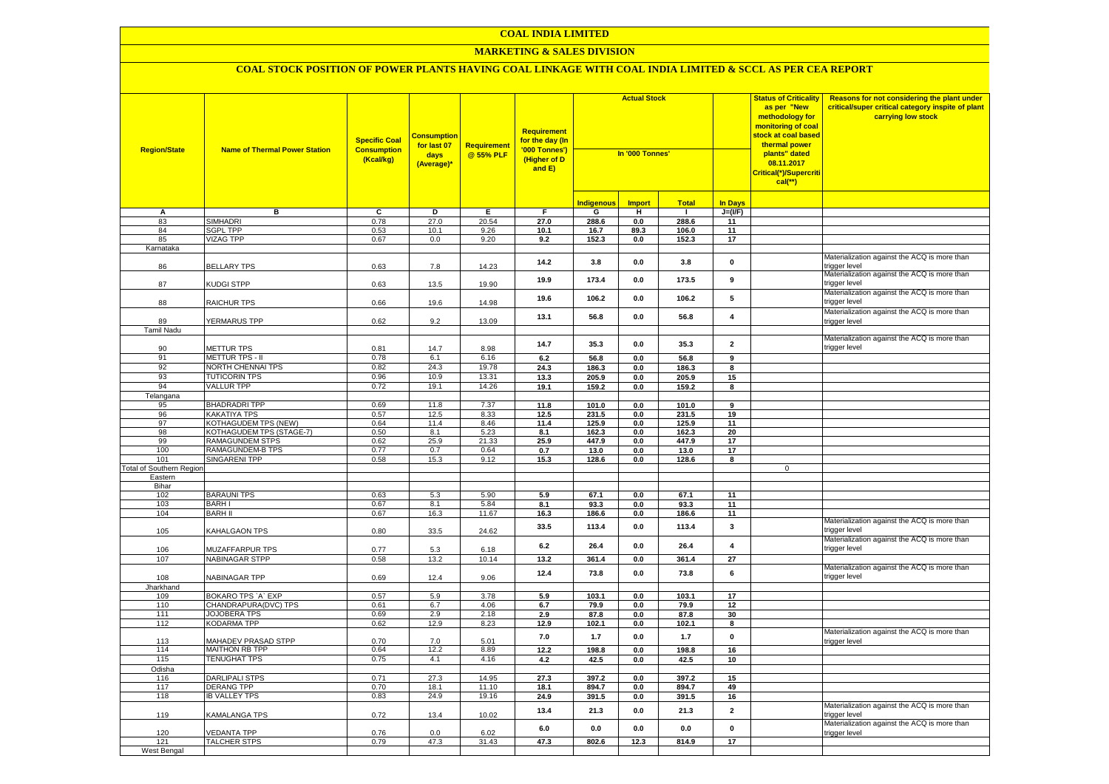#### **MARKETING & SALES DIVISION**

| <b>Region/State</b>             | <b>Name of Thermal Power Station</b>       | <b>Specific Coal</b><br><b>Consumption</b><br>(Kcal/kg) | <b>Consumption</b><br>for last 07<br>days<br>(Average)* | <b>Requirement</b><br>@ 55% PLF | <b>Requirement</b><br>for the day (In<br>'000 Tonnes')<br>(Higher of D<br>and E) | <b>Actual Stock</b><br>In '000 Tonnes' |                |                |                         | <b>Status of Criticality</b><br>as per "New<br>methodology for<br>monitoring of coal<br>stock at coal based<br>thermal power<br>plants" dated<br>08.11.2017<br>Critical(*)/Supercriti<br>$cal$ (**) | Reasons for not considering the plant under<br>critical/super critical category inspite of plant<br>carrying low stock |
|---------------------------------|--------------------------------------------|---------------------------------------------------------|---------------------------------------------------------|---------------------------------|----------------------------------------------------------------------------------|----------------------------------------|----------------|----------------|-------------------------|-----------------------------------------------------------------------------------------------------------------------------------------------------------------------------------------------------|------------------------------------------------------------------------------------------------------------------------|
|                                 |                                            |                                                         |                                                         |                                 |                                                                                  | <b>Indigenous</b>                      | <b>Import</b>  | <b>Total</b>   | <b>In Days</b>          |                                                                                                                                                                                                     |                                                                                                                        |
| А                               | в                                          | C                                                       | D                                                       | E                               | F.                                                                               | G                                      | н.             | $\mathbf{I}$   | $J=(VF)$                |                                                                                                                                                                                                     |                                                                                                                        |
| 83                              | <b>SIMHADRI</b>                            | 0.78                                                    | 27.0                                                    | 20.54                           | 27.0                                                                             | 288.6                                  | 0.0            | 288.6          | 11                      |                                                                                                                                                                                                     |                                                                                                                        |
| 84                              | <b>SGPL TPP</b>                            | 0.53                                                    | 10.1                                                    | 9.26                            | 10.1                                                                             | 16.7                                   | 89.3           | 106.0          | 11                      |                                                                                                                                                                                                     |                                                                                                                        |
| 85<br>Karnataka                 | <b>VIZAG TPP</b>                           | 0.67                                                    | 0.0                                                     | 9.20                            | 9.2                                                                              | 152.3                                  | 0.0            | 152.3          | 17                      |                                                                                                                                                                                                     |                                                                                                                        |
|                                 |                                            |                                                         |                                                         |                                 |                                                                                  |                                        |                |                |                         |                                                                                                                                                                                                     | Materialization against the ACQ is more than                                                                           |
| 86                              | <b>BELLARY TPS</b>                         | 0.63                                                    | 7.8                                                     | 14.23                           | 14.2                                                                             | 3.8                                    | 0.0            | 3.8            | $\mathbf 0$             |                                                                                                                                                                                                     | trigger level<br>Materialization against the ACQ is more than                                                          |
| 87                              | KUDGI STPP                                 | 0.63                                                    | 13.5                                                    | 19.90                           | 19.9                                                                             | 173.4                                  | 0.0            | 173.5          | 9                       |                                                                                                                                                                                                     | trigger level                                                                                                          |
| 88                              | <b>RAICHUR TPS</b>                         | 0.66                                                    | 19.6                                                    | 14.98                           | 19.6                                                                             | 106.2                                  | 0.0            | 106.2          | 5                       |                                                                                                                                                                                                     | Materialization against the ACQ is more than<br>trigger level                                                          |
|                                 |                                            |                                                         |                                                         |                                 | 13.1                                                                             | 56.8                                   | 0.0            | 56.8           | 4                       |                                                                                                                                                                                                     | Materialization against the ACQ is more than                                                                           |
| 89                              | YERMARUS TPP                               | 0.62                                                    | 9.2                                                     | 13.09                           |                                                                                  |                                        |                |                |                         |                                                                                                                                                                                                     | rigger level                                                                                                           |
| <b>Tamil Nadu</b>               |                                            |                                                         |                                                         |                                 |                                                                                  |                                        |                |                |                         |                                                                                                                                                                                                     | Materialization against the ACQ is more than                                                                           |
| 90                              | <b>METTUR TPS</b>                          | 0.81                                                    | 14.7                                                    | 8.98                            | 14.7                                                                             | 35.3                                   | 0.0            | 35.3           | $\overline{\mathbf{2}}$ |                                                                                                                                                                                                     | rigger level                                                                                                           |
| 91                              | METTUR TPS - II                            | 0.78                                                    | 6.1                                                     | 6.16                            | $6.2\,$                                                                          | 56.8                                   | 0.0            | 56.8           | 9                       |                                                                                                                                                                                                     |                                                                                                                        |
| 92                              | NORTH CHENNAI TPS                          | 0.82                                                    | 24.3                                                    | 19.78                           | 24.3                                                                             | 186.3                                  | 0.0            | 186.3          | 8                       |                                                                                                                                                                                                     |                                                                                                                        |
| 93                              | <b>TUTICORIN TPS</b>                       | 0.96                                                    | 10.9                                                    | 13.31                           | 13.3                                                                             | 205.9                                  | 0.0            | 205.9          | 15                      |                                                                                                                                                                                                     |                                                                                                                        |
| 94                              | <b>VALLUR TPP</b>                          | 0.72                                                    | 19.1                                                    | 14.26                           | 19.1                                                                             | 159.2                                  | 0.0            | 159.2          | 8                       |                                                                                                                                                                                                     |                                                                                                                        |
| Telangana                       |                                            |                                                         |                                                         |                                 |                                                                                  |                                        |                |                |                         |                                                                                                                                                                                                     |                                                                                                                        |
| 95                              | <b>BHADRADRI TPP</b>                       | 0.69                                                    | 11.8                                                    | 7.37                            | 11.8                                                                             | 101.0                                  | $0.0\,$        | 101.0          | 9                       |                                                                                                                                                                                                     |                                                                                                                        |
| 96                              | <b>KAKATIYA TPS</b>                        | 0.57                                                    | 12.5                                                    | 8.33                            | 12.5                                                                             | 231.5                                  | 0.0            | 231.5          | 19                      |                                                                                                                                                                                                     |                                                                                                                        |
| 97                              | KOTHAGUDEM TPS (NEW)                       | 0.64                                                    | 11.4                                                    | 8.46                            | 11.4                                                                             | 125.9                                  | 0.0            | 125.9          | 11                      |                                                                                                                                                                                                     |                                                                                                                        |
| 98<br>99                        | KOTHAGUDEM TPS (STAGE-7)                   | 0.50                                                    | 8.1                                                     | 5.23                            | 8.1                                                                              | 162.3                                  | 0.0            | 162.3          | 20                      |                                                                                                                                                                                                     |                                                                                                                        |
| 100                             | RAMAGUNDEM STPS<br>RAMAGUNDEM-B TPS        | 0.62<br>0.77                                            | 25.9<br>0.7                                             | 21.33<br>0.64                   | 25.9<br>0.7                                                                      | 447.9<br>13.0                          | 0.0<br>0.0     | 447.9          | 17<br>17                |                                                                                                                                                                                                     |                                                                                                                        |
| 101                             | <b>SINGARENI TPP</b>                       | 0.58                                                    | 15.3                                                    | 9.12                            | 15.3                                                                             | 128.6                                  | 0.0            | 13.0<br>128.6  | 8                       |                                                                                                                                                                                                     |                                                                                                                        |
| <b>Total of Southern Regior</b> |                                            |                                                         |                                                         |                                 |                                                                                  |                                        |                |                |                         | $\mathbf 0$                                                                                                                                                                                         |                                                                                                                        |
| Eastern                         |                                            |                                                         |                                                         |                                 |                                                                                  |                                        |                |                |                         |                                                                                                                                                                                                     |                                                                                                                        |
| Bihar                           |                                            |                                                         |                                                         |                                 |                                                                                  |                                        |                |                |                         |                                                                                                                                                                                                     |                                                                                                                        |
| 102                             | <b>BARAUNI TPS</b>                         | 0.63                                                    | 5.3                                                     | 5.90                            | 5.9                                                                              | 67.1                                   | $0.0\,$        | 67.1           | 11                      |                                                                                                                                                                                                     |                                                                                                                        |
| 103                             | <b>BARHI</b>                               | 0.67                                                    | 8.1                                                     | 5.84                            | 8.1                                                                              | 93.3                                   | 0.0            | 93.3           | 11                      |                                                                                                                                                                                                     |                                                                                                                        |
| 104                             | <b>BARH II</b>                             | 0.67                                                    | 16.3                                                    | 11.67                           | 16.3                                                                             | 186.6                                  | 0.0            | 186.6          | 11                      |                                                                                                                                                                                                     | Materialization against the ACQ is more than                                                                           |
| 105                             | KAHALGAON TPS                              | 0.80                                                    | 33.5                                                    | 24.62                           | 33.5                                                                             | 113.4                                  | 0.0            | 113.4          | 3                       |                                                                                                                                                                                                     | trigger level                                                                                                          |
| 106                             | <b>MUZAFFARPUR TPS</b>                     | 0.77                                                    | 5.3                                                     | 6.18                            | 6.2                                                                              | 26.4                                   | 0.0            | 26.4           | $\pmb{4}$               |                                                                                                                                                                                                     | Materialization against the ACQ is more than<br>rigger level                                                           |
| 107                             | <b>NABINAGAR STPP</b>                      | 0.58                                                    | 13.2                                                    | 10.14                           | 13.2                                                                             | 361.4                                  | 0.0            | 361.4          | 27                      |                                                                                                                                                                                                     |                                                                                                                        |
| 108                             | NABINAGAR TPP                              | 0.69                                                    | 12.4                                                    | 9.06                            | 12.4                                                                             | 73.8                                   | 0.0            | 73.8           | 6                       |                                                                                                                                                                                                     | Materialization against the ACQ is more than<br>trigger level                                                          |
| Jharkhand                       |                                            |                                                         |                                                         |                                 |                                                                                  |                                        |                |                |                         |                                                                                                                                                                                                     |                                                                                                                        |
| 109                             | BOKARO TPS `A` EXP                         | 0.57                                                    | 5.9                                                     | 3.78                            | 5.9                                                                              | 103.1                                  | 0.0            | 103.1          | 17                      |                                                                                                                                                                                                     |                                                                                                                        |
| 110                             | CHANDRAPURA(DVC) TPS                       | 0.61                                                    | 6.7                                                     | 4.06                            | 6.7                                                                              | 79.9                                   | 0.0            | 79.9           | 12                      |                                                                                                                                                                                                     |                                                                                                                        |
| 111<br>112                      | <b>JOJOBERA TPS</b><br><b>KODARMA TPP</b>  | 0.69<br>0.62                                            | 2.9<br>12.9                                             | 2.18<br>8.23                    | 2.9<br>12.9                                                                      | 87.8<br>102.1                          | 0.0<br>0.0     | 87.8<br>102.1  | 30<br>8                 |                                                                                                                                                                                                     |                                                                                                                        |
|                                 |                                            |                                                         |                                                         |                                 |                                                                                  |                                        |                |                |                         |                                                                                                                                                                                                     | Materialization against the ACQ is more than                                                                           |
| 113                             | MAHADEV PRASAD STPP                        | 0.70                                                    | 7.0                                                     | 5.01                            | 7.0                                                                              | $1.7$                                  | 0.0            | $1.7$          | $\mathbf 0$             |                                                                                                                                                                                                     | trigger level                                                                                                          |
| 114                             | <b>MAITHON RB TPP</b>                      | 0.64                                                    | 12.2                                                    | 8.89                            | 12.2                                                                             | 198.8                                  | 0.0            | 198.8          | 16                      |                                                                                                                                                                                                     |                                                                                                                        |
| 115                             | <b>TENUGHAT TPS</b>                        | 0.75                                                    | 4.1                                                     | 4.16                            | 4.2                                                                              | 42.5                                   | 0.0            | 42.5           | 10                      |                                                                                                                                                                                                     |                                                                                                                        |
| Odisha                          |                                            |                                                         |                                                         | 14.95                           |                                                                                  |                                        |                |                |                         |                                                                                                                                                                                                     |                                                                                                                        |
| 116<br>117                      | <b>DARLIPALI STPS</b><br><b>DERANG TPP</b> | 0.71<br>0.70                                            | 27.3<br>18.1                                            | 11.10                           | 27.3<br>18.1                                                                     | 397.2<br>894.7                         | $0.0\,$<br>0.0 | 397.2<br>894.7 | 15<br>49                |                                                                                                                                                                                                     |                                                                                                                        |
| 118                             | <b>IB VALLEY TPS</b>                       | 0.83                                                    | 24.9                                                    | 19.16                           | 24.9                                                                             | 391.5                                  | $0.0\,$        | 391.5          | 16                      |                                                                                                                                                                                                     |                                                                                                                        |
|                                 |                                            |                                                         |                                                         |                                 |                                                                                  |                                        |                |                |                         |                                                                                                                                                                                                     | Materialization against the ACQ is more than                                                                           |
| 119                             | <b>KAMALANGA TPS</b>                       | 0.72                                                    | 13.4                                                    | 10.02                           | 13.4                                                                             | 21.3                                   | 0.0            | 21.3           | $\overline{\mathbf{2}}$ |                                                                                                                                                                                                     | rigger level<br>Materialization against the ACQ is more than                                                           |
| 120                             | <b>VEDANTA TPP</b>                         | 0.76                                                    | 0.0                                                     | 6.02                            | 6.0                                                                              | 0.0                                    | 0.0            | 0.0            | $\mathbf 0$             |                                                                                                                                                                                                     | trigger level                                                                                                          |
| 121                             | <b>TALCHER STPS</b>                        | 0.79                                                    | 47.3                                                    | 31.43                           | 47.3                                                                             | 802.6                                  | 12.3           | 814.9          | 17                      |                                                                                                                                                                                                     |                                                                                                                        |
| West Bengal                     |                                            |                                                         |                                                         |                                 |                                                                                  |                                        |                |                |                         |                                                                                                                                                                                                     |                                                                                                                        |